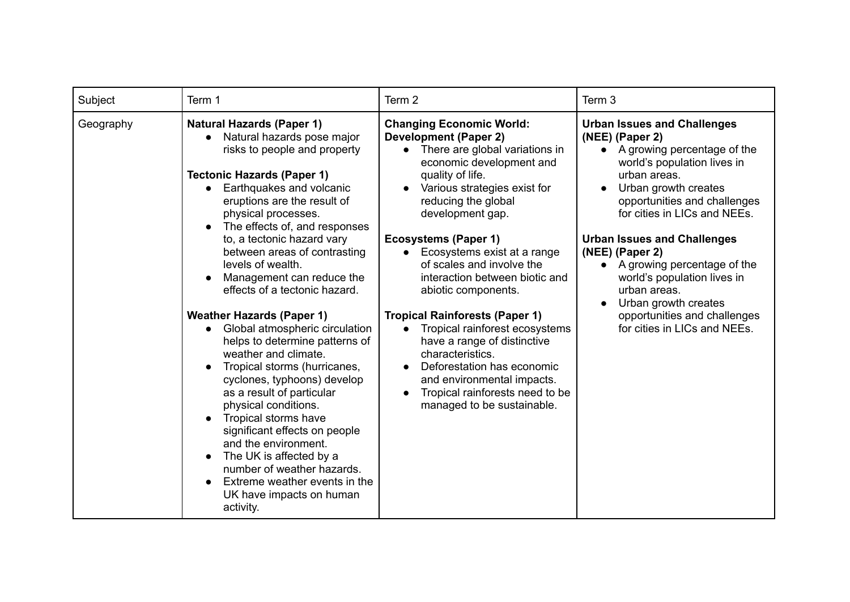| Subject   | Term 1                                                                                                                                                                                                                                                                                                                                                                                                                                                                                                                                                                                                                                                                                                                                                                                                                                                                          | Term 2                                                                                                                                                                                                                                                                                                                                                                                                                                                                                                                                                                                                                                        | Term 3                                                                                                                                                                                                                                                                                                                                                                                                                                                         |
|-----------|---------------------------------------------------------------------------------------------------------------------------------------------------------------------------------------------------------------------------------------------------------------------------------------------------------------------------------------------------------------------------------------------------------------------------------------------------------------------------------------------------------------------------------------------------------------------------------------------------------------------------------------------------------------------------------------------------------------------------------------------------------------------------------------------------------------------------------------------------------------------------------|-----------------------------------------------------------------------------------------------------------------------------------------------------------------------------------------------------------------------------------------------------------------------------------------------------------------------------------------------------------------------------------------------------------------------------------------------------------------------------------------------------------------------------------------------------------------------------------------------------------------------------------------------|----------------------------------------------------------------------------------------------------------------------------------------------------------------------------------------------------------------------------------------------------------------------------------------------------------------------------------------------------------------------------------------------------------------------------------------------------------------|
| Geography | <b>Natural Hazards (Paper 1)</b><br>Natural hazards pose major<br>risks to people and property<br><b>Tectonic Hazards (Paper 1)</b><br>Earthquakes and volcanic<br>eruptions are the result of<br>physical processes.<br>The effects of, and responses<br>to, a tectonic hazard vary<br>between areas of contrasting<br>levels of wealth.<br>Management can reduce the<br>effects of a tectonic hazard.<br><b>Weather Hazards (Paper 1)</b><br>Global atmospheric circulation<br>helps to determine patterns of<br>weather and climate.<br>Tropical storms (hurricanes,<br>cyclones, typhoons) develop<br>as a result of particular<br>physical conditions.<br>Tropical storms have<br>significant effects on people<br>and the environment.<br>The UK is affected by a<br>number of weather hazards.<br>Extreme weather events in the<br>UK have impacts on human<br>activity. | <b>Changing Economic World:</b><br><b>Development (Paper 2)</b><br>• There are global variations in<br>economic development and<br>quality of life.<br>Various strategies exist for<br>reducing the global<br>development gap.<br><b>Ecosystems (Paper 1)</b><br>Ecosystems exist at a range<br>of scales and involve the<br>interaction between biotic and<br>abiotic components.<br><b>Tropical Rainforests (Paper 1)</b><br>Tropical rainforest ecosystems<br>have a range of distinctive<br>characteristics.<br>Deforestation has economic<br>and environmental impacts.<br>Tropical rainforests need to be<br>managed to be sustainable. | <b>Urban Issues and Challenges</b><br>(NEE) (Paper 2)<br>• A growing percentage of the<br>world's population lives in<br>urban areas.<br>Urban growth creates<br>opportunities and challenges<br>for cities in LICs and NEEs.<br><b>Urban Issues and Challenges</b><br>(NEE) (Paper 2)<br>• A growing percentage of the<br>world's population lives in<br>urban areas.<br>Urban growth creates<br>opportunities and challenges<br>for cities in LICs and NEEs. |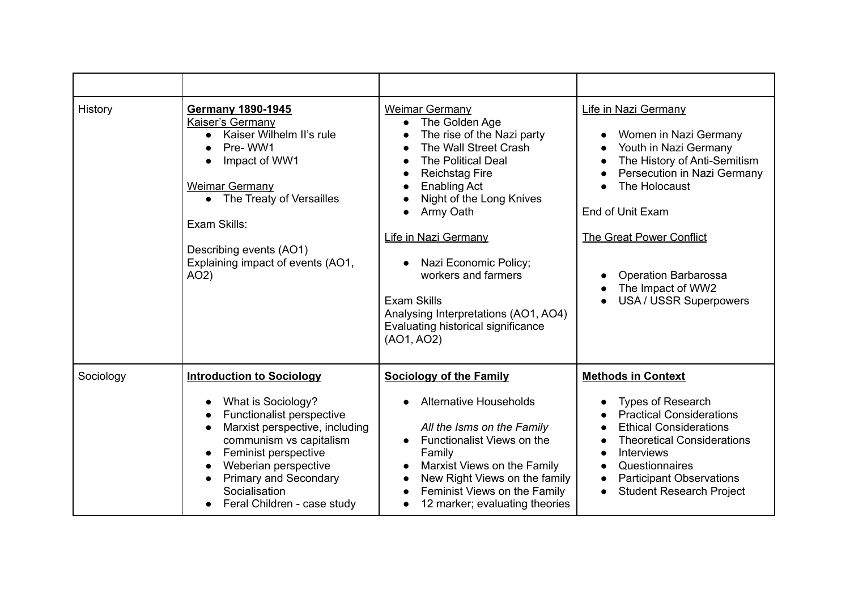| History   | <b>Germany 1890-1945</b><br>Kaiser's Germany<br>Kaiser Wilhelm II's rule<br>Pre-WW1<br>Impact of WW1<br>Weimar Germany<br>• The Treaty of Versailles<br>Exam Skills:<br>Describing events (AO1)<br>Explaining impact of events (AO1,<br>AO2                                         | <b>Weimar Germany</b><br>The Golden Age<br>$\bullet$<br>The rise of the Nazi party<br>The Wall Street Crash<br><b>The Political Deal</b><br>$\bullet$<br><b>Reichstag Fire</b><br>$\bullet$<br><b>Enabling Act</b><br>$\bullet$<br>Night of the Long Knives<br>$\bullet$<br>Army Oath<br>$\bullet$<br>Life in Nazi Germany<br>Nazi Economic Policy;<br>$\bullet$<br>workers and farmers<br><b>Exam Skills</b><br>Analysing Interpretations (AO1, AO4)<br>Evaluating historical significance<br>(AO1, AO2) | Life in Nazi Germany<br>Women in Nazi Germany<br>Youth in Nazi Germany<br>The History of Anti-Semitism<br>Persecution in Nazi Germany<br>The Holocaust<br>End of Unit Exam<br><b>The Great Power Conflict</b><br><b>Operation Barbarossa</b><br>The Impact of WW2<br><b>USA/USSR Superpowers</b> |
|-----------|-------------------------------------------------------------------------------------------------------------------------------------------------------------------------------------------------------------------------------------------------------------------------------------|-----------------------------------------------------------------------------------------------------------------------------------------------------------------------------------------------------------------------------------------------------------------------------------------------------------------------------------------------------------------------------------------------------------------------------------------------------------------------------------------------------------|--------------------------------------------------------------------------------------------------------------------------------------------------------------------------------------------------------------------------------------------------------------------------------------------------|
| Sociology | <b>Introduction to Sociology</b>                                                                                                                                                                                                                                                    | <b>Sociology of the Family</b>                                                                                                                                                                                                                                                                                                                                                                                                                                                                            | <b>Methods in Context</b>                                                                                                                                                                                                                                                                        |
|           | What is Sociology?<br>Functionalist perspective<br>Marxist perspective, including<br>communism vs capitalism<br>Feminist perspective<br>$\bullet$<br>Weberian perspective<br>$\bullet$<br><b>Primary and Secondary</b><br>$\bullet$<br>Socialisation<br>Feral Children - case study | <b>Alternative Households</b><br>All the Isms on the Family<br>Functionalist Views on the<br>Family<br>Marxist Views on the Family<br>New Right Views on the family<br>$\bullet$<br>Feminist Views on the Family<br>12 marker; evaluating theories                                                                                                                                                                                                                                                        | <b>Types of Research</b><br><b>Practical Considerations</b><br><b>Ethical Considerations</b><br><b>Theoretical Considerations</b><br><b>Interviews</b><br>Questionnaires<br>$\bullet$<br><b>Participant Observations</b><br>$\bullet$<br><b>Student Research Project</b>                         |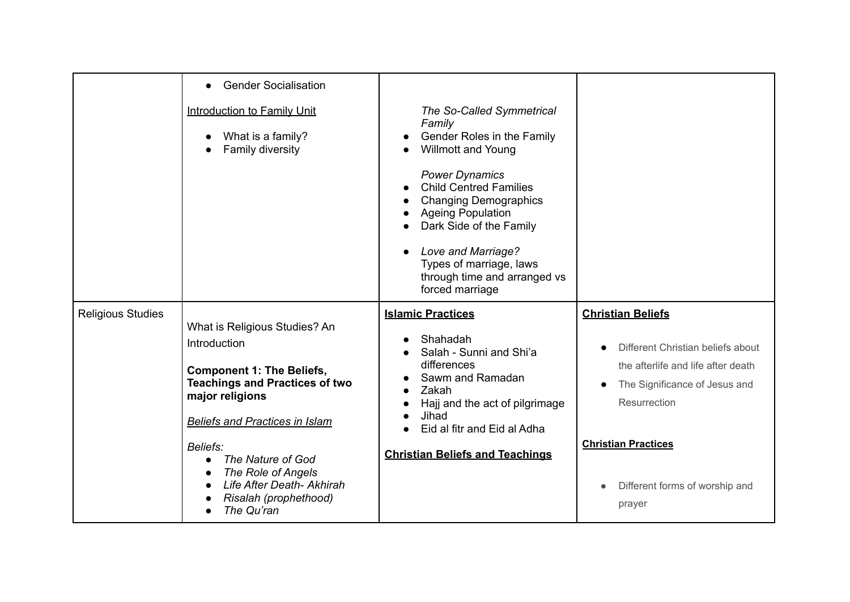|                          | <b>Gender Socialisation</b><br>$\bullet$                                                                                                                                                                                                                                                                          |                                                                                                                                                                                                                                                                                                                                                     |                                                                                                                                                                                                                                |
|--------------------------|-------------------------------------------------------------------------------------------------------------------------------------------------------------------------------------------------------------------------------------------------------------------------------------------------------------------|-----------------------------------------------------------------------------------------------------------------------------------------------------------------------------------------------------------------------------------------------------------------------------------------------------------------------------------------------------|--------------------------------------------------------------------------------------------------------------------------------------------------------------------------------------------------------------------------------|
|                          | <b>Introduction to Family Unit</b><br>What is a family?<br>Family diversity                                                                                                                                                                                                                                       | The So-Called Symmetrical<br>Family<br>Gender Roles in the Family<br><b>Willmott and Young</b><br><b>Power Dynamics</b><br><b>Child Centred Families</b><br><b>Changing Demographics</b><br><b>Ageing Population</b><br>Dark Side of the Family<br>Love and Marriage?<br>Types of marriage, laws<br>through time and arranged vs<br>forced marriage |                                                                                                                                                                                                                                |
| <b>Religious Studies</b> | What is Religious Studies? An<br>Introduction<br><b>Component 1: The Beliefs,</b><br><b>Teachings and Practices of two</b><br>major religions<br><b>Beliefs and Practices in Islam</b><br>Beliefs:<br>The Nature of God<br>The Role of Angels<br>Life After Death- Akhirah<br>Risalah (prophethood)<br>The Qu'ran | <b>Islamic Practices</b><br>Shahadah<br>Salah - Sunni and Shi'a<br>differences<br>Sawm and Ramadan<br>Zakah<br>Hajj and the act of pilgrimage<br>Jihad<br>Eid al fitr and Eid al Adha<br><b>Christian Beliefs and Teachings</b>                                                                                                                     | <b>Christian Beliefs</b><br>Different Christian beliefs about<br>the afterlife and life after death<br>The Significance of Jesus and<br>Resurrection<br><b>Christian Practices</b><br>Different forms of worship and<br>prayer |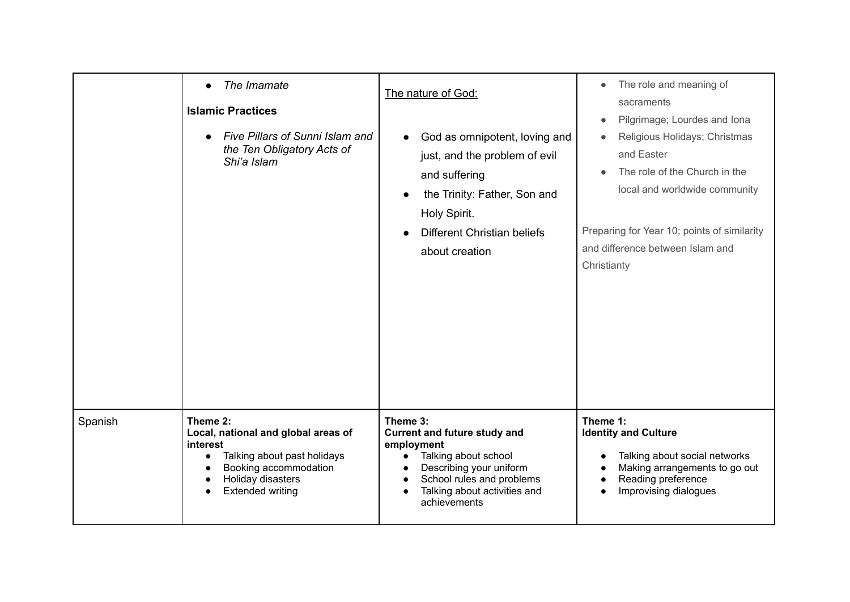|         | The Imamate<br>$\bullet$<br><b>Islamic Practices</b><br><b>Five Pillars of Sunni Islam and</b><br>the Ten Obligatory Acts of<br>Shi'a Islam                         | The nature of God:<br>God as omnipotent, loving and<br>just, and the problem of evil<br>and suffering<br>the Trinity: Father, Son and<br>$\bullet$<br>Holy Spirit.<br><b>Different Christian beliefs</b><br>about creation | The role and meaning of<br>$\bullet$<br>sacraments<br>Pilgrimage; Lourdes and Iona<br>$\bullet$<br>Religious Holidays; Christmas<br>and Easter<br>The role of the Church in the<br>local and worldwide community<br>Preparing for Year 10; points of similarity<br>and difference between Islam and<br>Christianty |
|---------|---------------------------------------------------------------------------------------------------------------------------------------------------------------------|----------------------------------------------------------------------------------------------------------------------------------------------------------------------------------------------------------------------------|--------------------------------------------------------------------------------------------------------------------------------------------------------------------------------------------------------------------------------------------------------------------------------------------------------------------|
| Spanish | Theme 2:<br>Local, national and global areas of<br>interest<br>Talking about past holidays<br>Booking accommodation<br>Holiday disasters<br><b>Extended writing</b> | Theme 3:<br><b>Current and future study and</b><br>employment<br>Talking about school<br>$\bullet$<br>Describing your uniform<br>School rules and problems<br>Talking about activities and<br>achievements                 | Theme 1:<br><b>Identity and Culture</b><br>Talking about social networks<br>Making arrangements to go out<br>Reading preference<br>Improvising dialogues                                                                                                                                                           |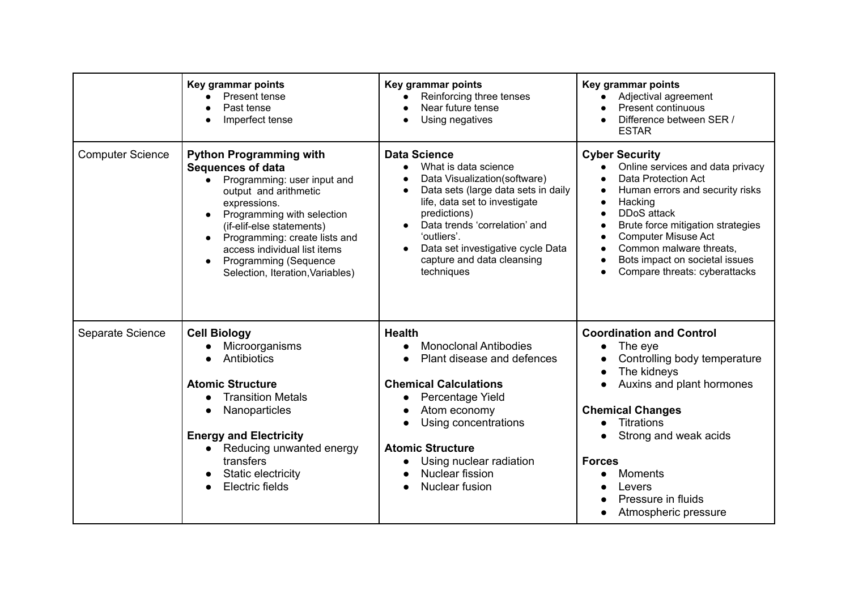|                         | Key grammar points<br>Present tense<br>Past tense<br>Imperfect tense                                                                                                                                                                                                                                                                                         | Key grammar points<br>Reinforcing three tenses<br>Near future tense<br>Using negatives                                                                                                                                                                                                                                                      | Key grammar points<br>Adjectival agreement<br><b>Present continuous</b><br>Difference between SER /<br><b>ESTAR</b>                                                                                                                                                                                                         |
|-------------------------|--------------------------------------------------------------------------------------------------------------------------------------------------------------------------------------------------------------------------------------------------------------------------------------------------------------------------------------------------------------|---------------------------------------------------------------------------------------------------------------------------------------------------------------------------------------------------------------------------------------------------------------------------------------------------------------------------------------------|-----------------------------------------------------------------------------------------------------------------------------------------------------------------------------------------------------------------------------------------------------------------------------------------------------------------------------|
| <b>Computer Science</b> | <b>Python Programming with</b><br><b>Sequences of data</b><br>Programming: user input and<br>$\bullet$<br>output and arithmetic<br>expressions.<br>Programming with selection<br>(if-elif-else statements)<br>Programming: create lists and<br>access individual list items<br><b>Programming (Sequence</b><br>$\bullet$<br>Selection, Iteration, Variables) | <b>Data Science</b><br>What is data science<br>$\bullet$<br>Data Visualization(software)<br>Data sets (large data sets in daily<br>$\bullet$<br>life, data set to investigate<br>predictions)<br>Data trends 'correlation' and<br>$\bullet$<br>'outliers'.<br>Data set investigative cycle Data<br>capture and data cleansing<br>techniques | <b>Cyber Security</b><br>Online services and data privacy<br>$\bullet$<br>Data Protection Act<br>Human errors and security risks<br>Hacking<br>DDoS attack<br>Brute force mitigation strategies<br><b>Computer Misuse Act</b><br>Common malware threats,<br>Bots impact on societal issues<br>Compare threats: cyberattacks |
| Separate Science        | <b>Cell Biology</b><br>Microorganisms<br>Antibiotics<br><b>Atomic Structure</b><br><b>Transition Metals</b><br>$\bullet$<br>Nanoparticles<br><b>Energy and Electricity</b><br>Reducing unwanted energy<br>transfers<br>Static electricity<br>Electric fields                                                                                                 | <b>Health</b><br><b>Monoclonal Antibodies</b><br>Plant disease and defences<br><b>Chemical Calculations</b><br>Percentage Yield<br>$\bullet$<br>Atom economy<br>Using concentrations<br><b>Atomic Structure</b><br>Using nuclear radiation<br>Nuclear fission<br>Nuclear fusion<br>$\bullet$                                                | <b>Coordination and Control</b><br>The eye<br>Controlling body temperature<br>The kidneys<br>Auxins and plant hormones<br><b>Chemical Changes</b><br><b>Titrations</b><br>Strong and weak acids<br><b>Forces</b><br><b>Moments</b><br>Levers<br>Pressure in fluids<br>Atmospheric pressure                                  |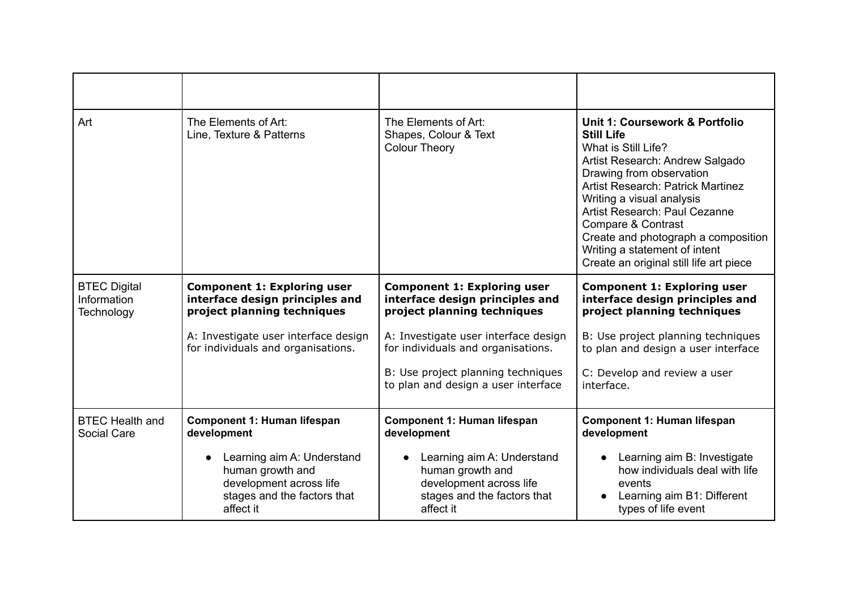| Art                                              | The Elements of Art:<br>Line, Texture & Patterns                                                                                   | The Elements of Art:<br>Shapes, Colour & Text<br><b>Colour Theory</b>                                                 | Unit 1: Coursework & Portfolio<br><b>Still Life</b><br>What is Still Life?<br>Artist Research: Andrew Salgado<br>Drawing from observation<br><b>Artist Research: Patrick Martinez</b><br>Writing a visual analysis<br>Artist Research: Paul Cezanne<br>Compare & Contrast<br>Create and photograph a composition<br>Writing a statement of intent<br>Create an original still life art piece |
|--------------------------------------------------|------------------------------------------------------------------------------------------------------------------------------------|-----------------------------------------------------------------------------------------------------------------------|----------------------------------------------------------------------------------------------------------------------------------------------------------------------------------------------------------------------------------------------------------------------------------------------------------------------------------------------------------------------------------------------|
| <b>BTEC Digital</b><br>Information<br>Technology | <b>Component 1: Exploring user</b><br>interface design principles and<br>project planning techniques                               | <b>Component 1: Exploring user</b><br>interface design principles and<br>project planning techniques                  | <b>Component 1: Exploring user</b><br>interface design principles and<br>project planning techniques                                                                                                                                                                                                                                                                                         |
|                                                  | A: Investigate user interface design<br>for individuals and organisations.                                                         | A: Investigate user interface design<br>for individuals and organisations.                                            | B: Use project planning techniques<br>to plan and design a user interface                                                                                                                                                                                                                                                                                                                    |
|                                                  |                                                                                                                                    | B: Use project planning techniques<br>to plan and design a user interface                                             | C: Develop and review a user<br>interface.                                                                                                                                                                                                                                                                                                                                                   |
| <b>BTEC Health and</b><br>Social Care            | <b>Component 1: Human lifespan</b><br>development                                                                                  | <b>Component 1: Human lifespan</b><br>development                                                                     | <b>Component 1: Human lifespan</b><br>development                                                                                                                                                                                                                                                                                                                                            |
|                                                  | Learning aim A: Understand<br>$\bullet$<br>human growth and<br>development across life<br>stages and the factors that<br>affect it | Learning aim A: Understand<br>human growth and<br>development across life<br>stages and the factors that<br>affect it | Learning aim B: Investigate<br>$\bullet$<br>how individuals deal with life<br>events<br>Learning aim B1: Different<br>types of life event                                                                                                                                                                                                                                                    |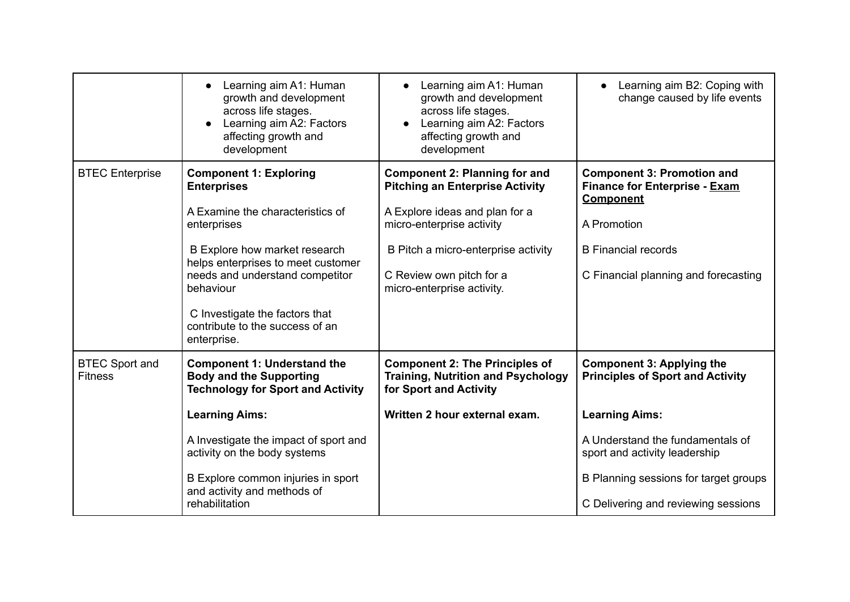|                                         | Learning aim A1: Human<br>growth and development<br>across life stages.<br>Learning aim A2: Factors<br>affecting growth and<br>development                                                                                                                                                                        | Learning aim A1: Human<br>growth and development<br>across life stages.<br>Learning aim A2: Factors<br>affecting growth and<br>development                                                                                                     | Learning aim B2: Coping with<br>change caused by life events                                                                                                                                                                                              |
|-----------------------------------------|-------------------------------------------------------------------------------------------------------------------------------------------------------------------------------------------------------------------------------------------------------------------------------------------------------------------|------------------------------------------------------------------------------------------------------------------------------------------------------------------------------------------------------------------------------------------------|-----------------------------------------------------------------------------------------------------------------------------------------------------------------------------------------------------------------------------------------------------------|
| <b>BTEC</b> Enterprise                  | <b>Component 1: Exploring</b><br><b>Enterprises</b><br>A Examine the characteristics of<br>enterprises<br>B Explore how market research<br>helps enterprises to meet customer<br>needs and understand competitor<br>behaviour<br>C Investigate the factors that<br>contribute to the success of an<br>enterprise. | <b>Component 2: Planning for and</b><br><b>Pitching an Enterprise Activity</b><br>A Explore ideas and plan for a<br>micro-enterprise activity<br>B Pitch a micro-enterprise activity<br>C Review own pitch for a<br>micro-enterprise activity. | <b>Component 3: Promotion and</b><br><b>Finance for Enterprise - Exam</b><br><b>Component</b><br>A Promotion<br><b>B</b> Financial records<br>C Financial planning and forecasting                                                                        |
| <b>BTEC Sport and</b><br><b>Fitness</b> | <b>Component 1: Understand the</b><br><b>Body and the Supporting</b><br><b>Technology for Sport and Activity</b><br><b>Learning Aims:</b><br>A Investigate the impact of sport and<br>activity on the body systems<br>B Explore common injuries in sport<br>and activity and methods of<br>rehabilitation         | <b>Component 2: The Principles of</b><br><b>Training, Nutrition and Psychology</b><br>for Sport and Activity<br>Written 2 hour external exam.                                                                                                  | <b>Component 3: Applying the</b><br><b>Principles of Sport and Activity</b><br><b>Learning Aims:</b><br>A Understand the fundamentals of<br>sport and activity leadership<br>B Planning sessions for target groups<br>C Delivering and reviewing sessions |